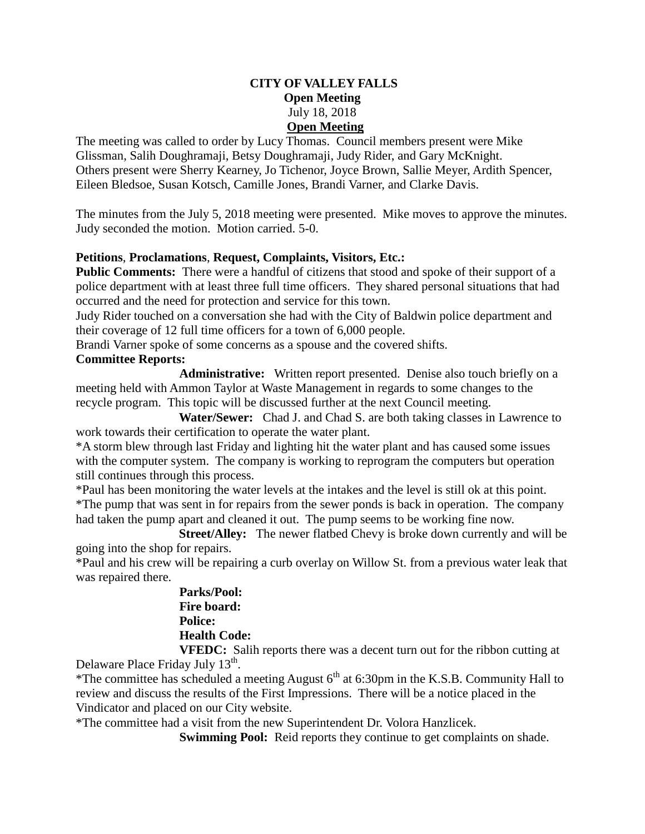# **CITY OF VALLEY FALLS Open Meeting** July 18, 2018 **Open Meeting**

The meeting was called to order by Lucy Thomas. Council members present were Mike Glissman, Salih Doughramaji, Betsy Doughramaji, Judy Rider, and Gary McKnight. Others present were Sherry Kearney, Jo Tichenor, Joyce Brown, Sallie Meyer, Ardith Spencer, Eileen Bledsoe, Susan Kotsch, Camille Jones, Brandi Varner, and Clarke Davis.

The minutes from the July 5, 2018 meeting were presented. Mike moves to approve the minutes. Judy seconded the motion. Motion carried. 5-0.

# **Petitions**, **Proclamations**, **Request, Complaints, Visitors, Etc.:**

**Public Comments:** There were a handful of citizens that stood and spoke of their support of a police department with at least three full time officers. They shared personal situations that had occurred and the need for protection and service for this town.

Judy Rider touched on a conversation she had with the City of Baldwin police department and their coverage of 12 full time officers for a town of 6,000 people.

Brandi Varner spoke of some concerns as a spouse and the covered shifts.

# **Committee Reports:**

**Administrative:** Written report presented. Denise also touch briefly on a meeting held with Ammon Taylor at Waste Management in regards to some changes to the recycle program. This topic will be discussed further at the next Council meeting.

 **Water/Sewer:** Chad J. and Chad S. are both taking classes in Lawrence to work towards their certification to operate the water plant.

\*A storm blew through last Friday and lighting hit the water plant and has caused some issues with the computer system. The company is working to reprogram the computers but operation still continues through this process.

\*Paul has been monitoring the water levels at the intakes and the level is still ok at this point. \*The pump that was sent in for repairs from the sewer ponds is back in operation. The company had taken the pump apart and cleaned it out. The pump seems to be working fine now.

 **Street/Alley:** The newer flatbed Chevy is broke down currently and will be going into the shop for repairs.

\*Paul and his crew will be repairing a curb overlay on Willow St. from a previous water leak that was repaired there.

> **Parks/Pool: Fire board: Police: Health Code: VFEDC:** Salih reports there was a decent turn out for the ribbon cutting at

Delaware Place Friday July 13<sup>th</sup>.

\*The committee has scheduled a meeting August  $6<sup>th</sup>$  at 6:30pm in the K.S.B. Community Hall to review and discuss the results of the First Impressions. There will be a notice placed in the Vindicator and placed on our City website.

\*The committee had a visit from the new Superintendent Dr. Volora Hanzlicek.

**Swimming Pool:** Reid reports they continue to get complaints on shade.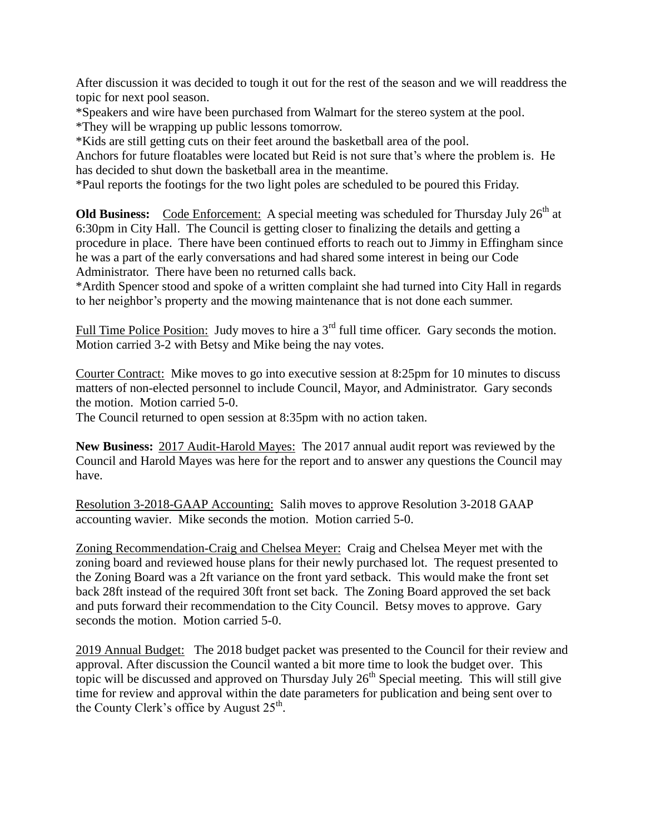After discussion it was decided to tough it out for the rest of the season and we will readdress the topic for next pool season.

\*Speakers and wire have been purchased from Walmart for the stereo system at the pool. \*They will be wrapping up public lessons tomorrow.

\*Kids are still getting cuts on their feet around the basketball area of the pool.

Anchors for future floatables were located but Reid is not sure that's where the problem is. He has decided to shut down the basketball area in the meantime.

\*Paul reports the footings for the two light poles are scheduled to be poured this Friday.

**Old Business:** Code Enforcement: A special meeting was scheduled for Thursday July 26<sup>th</sup> at 6:30pm in City Hall. The Council is getting closer to finalizing the details and getting a procedure in place. There have been continued efforts to reach out to Jimmy in Effingham since he was a part of the early conversations and had shared some interest in being our Code Administrator. There have been no returned calls back.

\*Ardith Spencer stood and spoke of a written complaint she had turned into City Hall in regards to her neighbor's property and the mowing maintenance that is not done each summer.

Full Time Police Position: Judy moves to hire a  $3<sup>rd</sup>$  full time officer. Gary seconds the motion. Motion carried 3-2 with Betsy and Mike being the nay votes.

Courter Contract: Mike moves to go into executive session at 8:25pm for 10 minutes to discuss matters of non-elected personnel to include Council, Mayor, and Administrator. Gary seconds the motion. Motion carried 5-0.

The Council returned to open session at 8:35pm with no action taken.

**New Business:** 2017 Audit-Harold Mayes: The 2017 annual audit report was reviewed by the Council and Harold Mayes was here for the report and to answer any questions the Council may have.

Resolution 3-2018-GAAP Accounting: Salih moves to approve Resolution 3-2018 GAAP accounting wavier. Mike seconds the motion. Motion carried 5-0.

Zoning Recommendation-Craig and Chelsea Meyer: Craig and Chelsea Meyer met with the zoning board and reviewed house plans for their newly purchased lot. The request presented to the Zoning Board was a 2ft variance on the front yard setback. This would make the front set back 28ft instead of the required 30ft front set back. The Zoning Board approved the set back and puts forward their recommendation to the City Council. Betsy moves to approve. Gary seconds the motion. Motion carried 5-0.

2019 Annual Budget: The 2018 budget packet was presented to the Council for their review and approval. After discussion the Council wanted a bit more time to look the budget over. This topic will be discussed and approved on Thursday July  $26<sup>th</sup>$  Special meeting. This will still give time for review and approval within the date parameters for publication and being sent over to the County Clerk's office by August  $25<sup>th</sup>$ .